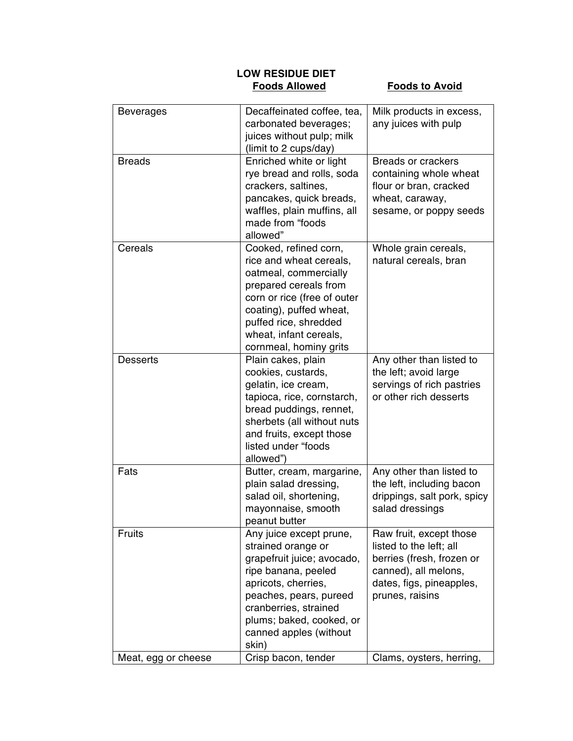## **LOW RESIDUE DIET**

## **Foods to Avoid**

| <b>Beverages</b>    | Decaffeinated coffee, tea,<br>carbonated beverages;<br>juices without pulp; milk<br>(limit to 2 cups/day)                                                                                                                                   | Milk products in excess,<br>any juices with pulp                                                                                                       |
|---------------------|---------------------------------------------------------------------------------------------------------------------------------------------------------------------------------------------------------------------------------------------|--------------------------------------------------------------------------------------------------------------------------------------------------------|
| <b>Breads</b>       | Enriched white or light<br>rye bread and rolls, soda<br>crackers, saltines,<br>pancakes, quick breads,<br>waffles, plain muffins, all<br>made from "foods<br>allowed"                                                                       | <b>Breads or crackers</b><br>containing whole wheat<br>flour or bran, cracked<br>wheat, caraway,<br>sesame, or poppy seeds                             |
| Cereals             | Cooked, refined corn,<br>rice and wheat cereals,<br>oatmeal, commercially<br>prepared cereals from<br>corn or rice (free of outer<br>coating), puffed wheat,<br>puffed rice, shredded<br>wheat, infant cereals,<br>cornmeal, hominy grits   | Whole grain cereals,<br>natural cereals, bran                                                                                                          |
| <b>Desserts</b>     | Plain cakes, plain<br>cookies, custards,<br>gelatin, ice cream,<br>tapioca, rice, cornstarch,<br>bread puddings, rennet,<br>sherbets (all without nuts<br>and fruits, except those<br>listed under "foods<br>allowed")                      | Any other than listed to<br>the left; avoid large<br>servings of rich pastries<br>or other rich desserts                                               |
| Fats                | Butter, cream, margarine,<br>plain salad dressing,<br>salad oil, shortening,<br>mayonnaise, smooth<br>peanut butter                                                                                                                         | Any other than listed to<br>the left, including bacon<br>drippings, salt pork, spicy<br>salad dressings                                                |
| <b>Fruits</b>       | Any juice except prune,<br>strained orange or<br>grapefruit juice; avocado,<br>ripe banana, peeled<br>apricots, cherries,<br>peaches, pears, pureed<br>cranberries, strained<br>plums; baked, cooked, or<br>canned apples (without<br>skin) | Raw fruit, except those<br>listed to the left; all<br>berries (fresh, frozen or<br>canned), all melons,<br>dates, figs, pineapples,<br>prunes, raisins |
| Meat, egg or cheese | Crisp bacon, tender                                                                                                                                                                                                                         | Clams, oysters, herring,                                                                                                                               |